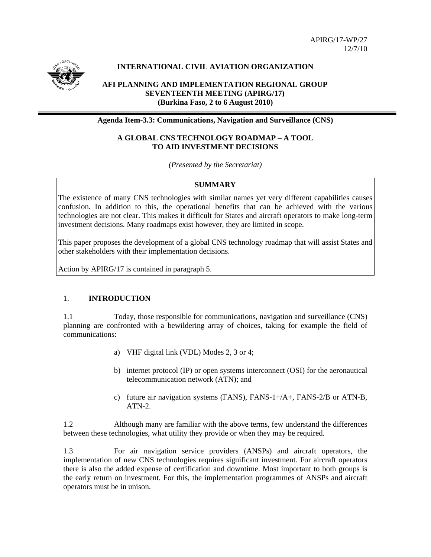

# **INTERNATIONAL CIVIL AVIATION ORGANIZATION**

## **AFI PLANNING AND IMPLEMENTATION REGIONAL GROUP SEVENTEENTH MEETING (APIRG/17) (Burkina Faso, 2 to 6 August 2010)**

**Agenda Item-3.3: Communications, Navigation and Surveillance (CNS)** 

## **A GLOBAL CNS TECHNOLOGY ROADMAP – A TOOL TO AID INVESTMENT DECISIONS**

*(Presented by the Secretariat)* 

### **SUMMARY**

The existence of many CNS technologies with similar names yet very different capabilities causes confusion. In addition to this, the operational benefits that can be achieved with the various technologies are not clear. This makes it difficult for States and aircraft operators to make long-term investment decisions. Many roadmaps exist however, they are limited in scope.

This paper proposes the development of a global CNS technology roadmap that will assist States and other stakeholders with their implementation decisions.

Action by APIRG/17 is contained in paragraph 5.

### 1. **INTRODUCTION**

1.1 Today, those responsible for communications, navigation and surveillance (CNS) planning are confronted with a bewildering array of choices, taking for example the field of communications:

- a) VHF digital link (VDL) Modes 2, 3 or 4;
- b) internet protocol (IP) or open systems interconnect (OSI) for the aeronautical telecommunication network (ATN); and
- c) future air navigation systems (FANS), FANS- $1+A+$ , FANS- $2/B$  or ATN-B, ATN-2.

1.2 Although many are familiar with the above terms, few understand the differences between these technologies, what utility they provide or when they may be required.

1.3 For air navigation service providers (ANSPs) and aircraft operators, the implementation of new CNS technologies requires significant investment. For aircraft operators there is also the added expense of certification and downtime. Most important to both groups is the early return on investment. For this, the implementation programmes of ANSPs and aircraft operators must be in unison.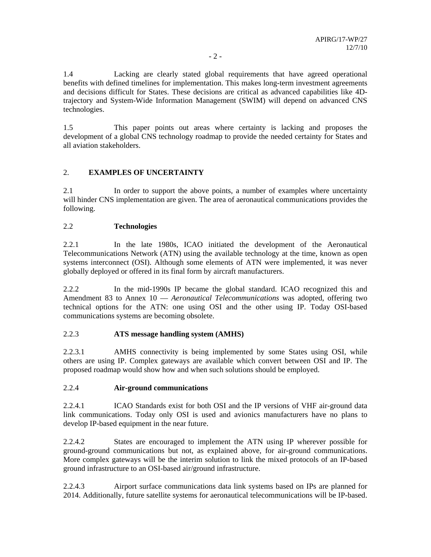1.4 Lacking are clearly stated global requirements that have agreed operational benefits with defined timelines for implementation. This makes long-term investment agreements and decisions difficult for States. These decisions are critical as advanced capabilities like 4Dtrajectory and System-Wide Information Management (SWIM) will depend on advanced CNS technologies.

1.5 This paper points out areas where certainty is lacking and proposes the development of a global CNS technology roadmap to provide the needed certainty for States and all aviation stakeholders.

# 2. **EXAMPLES OF UNCERTAINTY**

2.1 In order to support the above points, a number of examples where uncertainty will hinder CNS implementation are given. The area of aeronautical communications provides the following.

### 2.2 **Technologies**

2.2.1 In the late 1980s, ICAO initiated the development of the Aeronautical Telecommunications Network (ATN) using the available technology at the time, known as open systems interconnect (OSI). Although some elements of ATN were implemented, it was never globally deployed or offered in its final form by aircraft manufacturers.

2.2.2 In the mid-1990s IP became the global standard. ICAO recognized this and Amendment 83 to Annex 10 — *Aeronautical Telecommunications* was adopted, offering two technical options for the ATN: one using OSI and the other using IP. Today OSI-based communications systems are becoming obsolete.

## 2.2.3 **ATS message handling system (AMHS)**

2.2.3.1 AMHS connectivity is being implemented by some States using OSI, while others are using IP. Complex gateways are available which convert between OSI and IP. The proposed roadmap would show how and when such solutions should be employed.

### 2.2.4 **Air-ground communications**

2.2.4.1 ICAO Standards exist for both OSI and the IP versions of VHF air-ground data link communications. Today only OSI is used and avionics manufacturers have no plans to develop IP-based equipment in the near future.

2.2.4.2 States are encouraged to implement the ATN using IP wherever possible for ground-ground communications but not, as explained above, for air-ground communications. More complex gateways will be the interim solution to link the mixed protocols of an IP-based ground infrastructure to an OSI-based air/ground infrastructure.

2.2.4.3 Airport surface communications data link systems based on IPs are planned for 2014. Additionally, future satellite systems for aeronautical telecommunications will be IP-based.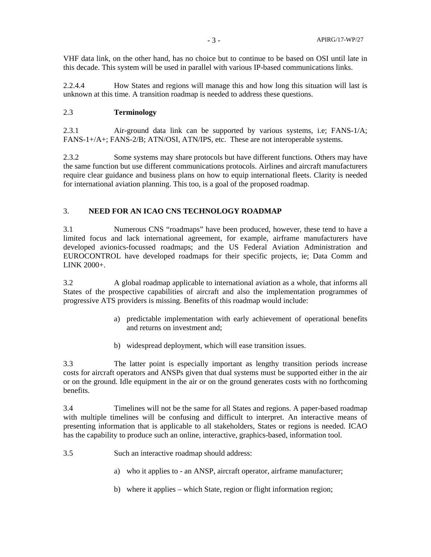VHF data link, on the other hand, has no choice but to continue to be based on OSI until late in this decade. This system will be used in parallel with various IP-based communications links.

2.2.4.4 How States and regions will manage this and how long this situation will last is unknown at this time. A transition roadmap is needed to address these questions.

### 2.3 **Terminology**

2.3.1 Air-ground data link can be supported by various systems, i.e; FANS-1/A; FANS-1+/A+; FANS-2/B; ATN/OSI, ATN/IPS, etc. These are not interoperable systems.

2.3.2 Some systems may share protocols but have different functions. Others may have the same function but use different communications protocols. Airlines and aircraft manufacturers require clear guidance and business plans on how to equip international fleets. Clarity is needed for international aviation planning. This too, is a goal of the proposed roadmap.

### 3. **NEED FOR AN ICAO CNS TECHNOLOGY ROADMAP**

3.1 Numerous CNS "roadmaps" have been produced, however, these tend to have a limited focus and lack international agreement, for example, airframe manufacturers have developed avionics-focussed roadmaps; and the US Federal Aviation Administration and EUROCONTROL have developed roadmaps for their specific projects, ie; Data Comm and LINK 2000+.

3.2 A global roadmap applicable to international aviation as a whole, that informs all States of the prospective capabilities of aircraft and also the implementation programmes of progressive ATS providers is missing. Benefits of this roadmap would include:

- a) predictable implementation with early achievement of operational benefits and returns on investment and;
- b) widespread deployment, which will ease transition issues.

3.3 The latter point is especially important as lengthy transition periods increase costs for aircraft operators and ANSPs given that dual systems must be supported either in the air or on the ground. Idle equipment in the air or on the ground generates costs with no forthcoming benefits.

3.4 Timelines will not be the same for all States and regions. A paper-based roadmap with multiple timelines will be confusing and difficult to interpret. An interactive means of presenting information that is applicable to all stakeholders, States or regions is needed. ICAO has the capability to produce such an online, interactive, graphics-based, information tool.

- 3.5 Such an interactive roadmap should address:
	- a) who it applies to an ANSP, aircraft operator, airframe manufacturer;
	- b) where it applies which State, region or flight information region;